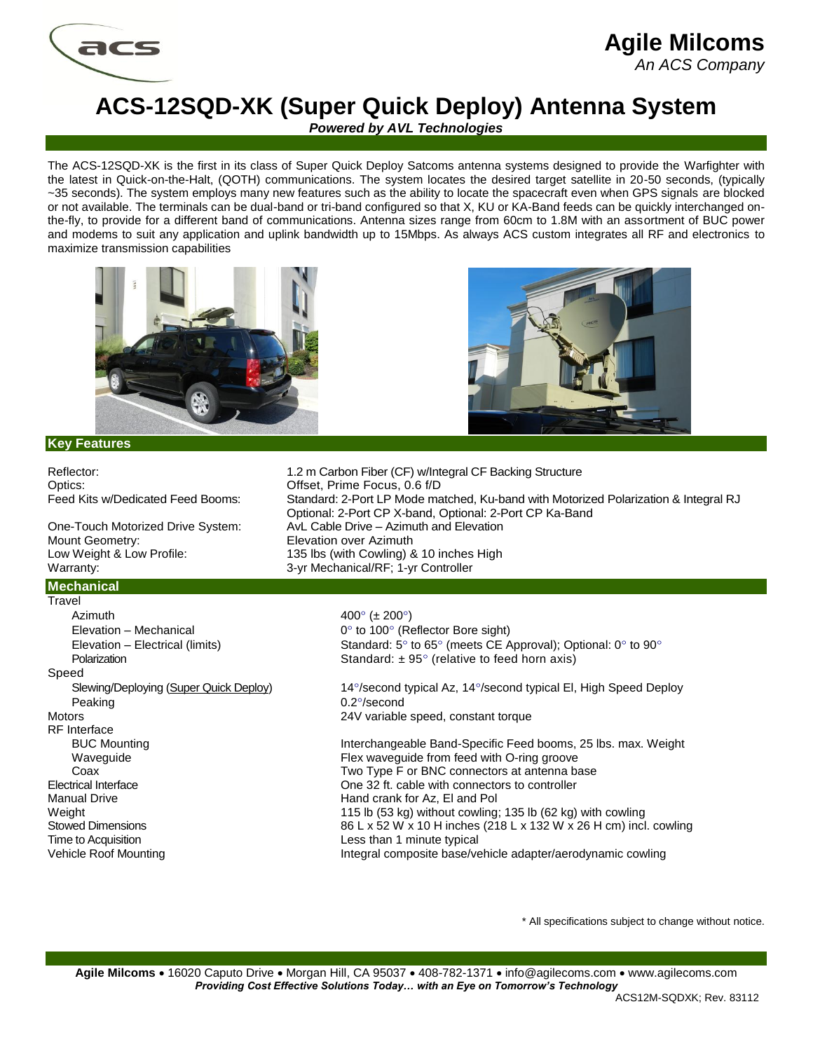

## **Agile Milcoms** *An ACS Company*

## **ACS-12SQD-XK (Super Quick Deploy) Antenna System**

*Powered by AVL Technologies*

The ACS-12SQD-XK is the first in its class of Super Quick Deploy Satcoms antenna systems designed to provide the Warfighter with the latest in Quick-on-the-Halt, (QOTH) communications. The system locates the desired target satellite in 20-50 seconds, (typically ~35 seconds). The system employs many new features such as the ability to locate the spacecraft even when GPS signals are blocked or not available. The terminals can be dual-band or tri-band configured so that X, KU or KA-Band feeds can be quickly interchanged onthe-fly, to provide for a different band of communications. Antenna sizes range from 60cm to 1.8M with an assortment of BUC power and modems to suit any application and uplink bandwidth up to 15Mbps. As always ACS custom integrates all RF and electronics to maximize transmission capabilities





## **Key Features**

Optics: Optics: Offset, Prime Focus, 0.6 f/D One-Touch Motorized Drive System: AvL Cable Drive – Azimuth and Elevation Mount Geometry: Elevation over Azimuth Low Weight & Low Profile: 135 lbs (with Cowling) & 10 inches High Warranty: Warranty: 3-yr Mechanical/RF; 1-yr Controller **Mechanical Travel** Azimuth  $400^{\circ}$  ( $\pm 200^{\circ}$ ) Elevation – Mechanical  $0^\circ$  to 100 $^\circ$  (Reflector Bore sight) Speed Peaking 0.2°/second Motors **24V** variable speed, constant torque RF Interface Manual Drive **Hand crank for Az, El and Pol** Time to Acquisition **Less** than 1 minute typical

Reflector: 1.2 m Carbon Fiber (CF) w/Integral CF Backing Structure Feed Kits w/Dedicated Feed Booms: Standard: 2-Port LP Mode matched, Ku-band with Motorized Polarization & Integral RJ Optional: 2-Port CP X-band, Optional: 2-Port CP Ka-Band

Elevation – Electrical (limits) Standard:  $5^\circ$  to  $65^\circ$  (meets CE Approval); Optional: 0 $^\circ$  to 90 $^\circ$ Polarization **Provides** Standard:  $\pm 95^\circ$  (relative to feed horn axis)

Slewing/Deploying (Super Quick Deploy) 14°/second typical Az, 14°/second typical El, High Speed Deploy

BUC Mounting The Interchangeable Band-Specific Feed booms, 25 lbs. max. Weight Waveguide Flex waveguide from feed with O-ring groove Coax Coax Two Type F or BNC connectors at antenna base Electrical Interface One 32 ft. cable with connectors to controller Weight 115 lb (53 kg) without cowling; 135 lb (62 kg) with cowling Stowed Dimensions 86 L x 52 W x 10 H inches (218 L x 132 W x 26 H cm) incl. cowling Vehicle Roof Mounting **Integral composite base/vehicle adapter/aerodynamic cowling** 

\* All specifications subject to change without notice.

Agile Milcoms • 16020 Caputo Drive • Morgan Hill, CA 95037 • 408-782-1371 • info@agilecoms.com • www.agilecoms.com *Providing Cost Effective Solutions Today… with an Eye on Tomorrow's Technology*